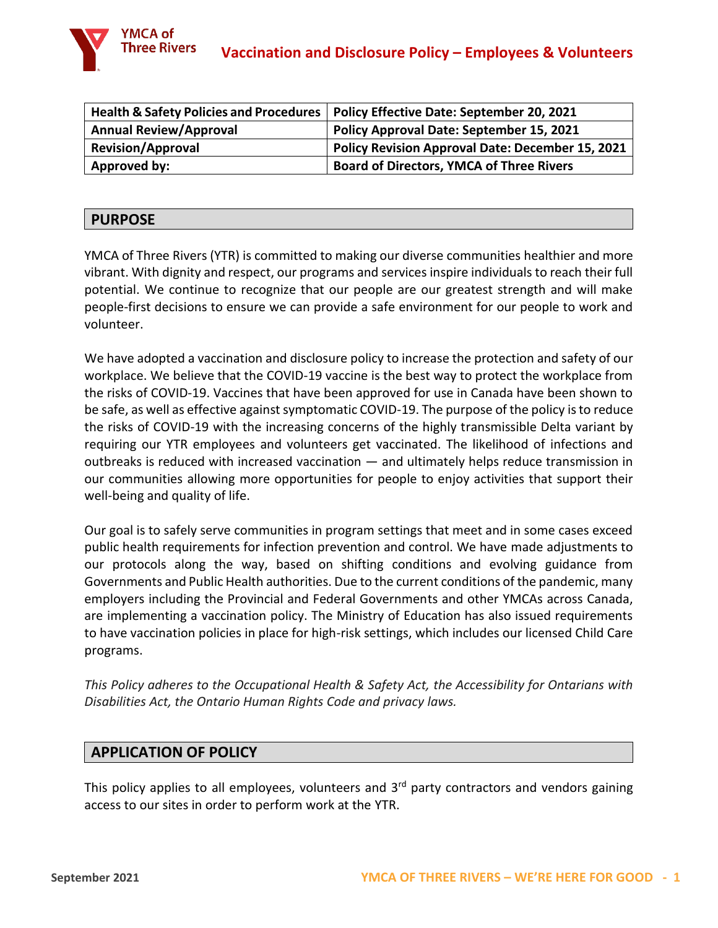

|                               | Health & Safety Policies and Procedures   Policy Effective Date: September 20, 2021 |
|-------------------------------|-------------------------------------------------------------------------------------|
| <b>Annual Review/Approval</b> | <b>Policy Approval Date: September 15, 2021</b>                                     |
| <b>Revision/Approval</b>      | <b>Policy Revision Approval Date: December 15, 2021</b>                             |
| Approved by:                  | <b>Board of Directors, YMCA of Three Rivers</b>                                     |

### **PURPOSE**

YMCA of Three Rivers (YTR) is committed to making our diverse communities healthier and more vibrant. With dignity and respect, our programs and services inspire individuals to reach their full potential. We continue to recognize that our people are our greatest strength and will make people-first decisions to ensure we can provide a safe environment for our people to work and volunteer.

We have adopted a vaccination and disclosure policy to increase the protection and safety of our workplace. We believe that the COVID-19 vaccine is the best way to protect the workplace from the risks of COVID-19. Vaccines that have been approved for use in Canada have been shown to be safe, as well as effective against symptomatic COVID-19. The purpose of the policy is to reduce the risks of COVID-19 with the increasing concerns of the highly transmissible Delta variant by requiring our YTR employees and volunteers get vaccinated. The likelihood of infections and outbreaks is reduced with increased vaccination — and ultimately helps reduce transmission in our communities allowing more opportunities for people to enjoy activities that support their well-being and quality of life.

Our goal is to safely serve communities in program settings that meet and in some cases exceed public health requirements for infection prevention and control. We have made adjustments to our protocols along the way, based on shifting conditions and evolving guidance from Governments and Public Health authorities. Due to the current conditions of the pandemic, many employers including the Provincial and Federal Governments and other YMCAs across Canada, are implementing a vaccination policy. The Ministry of Education has also issued requirements to have vaccination policies in place for high-risk settings, which includes our licensed Child Care programs.

*This Policy adheres to the Occupational Health & Safety Act, the Accessibility for Ontarians with Disabilities Act, the Ontario Human Rights Code and privacy laws.* 

## **APPLICATION OF POLICY**

This policy applies to all employees, volunteers and  $3<sup>rd</sup>$  party contractors and vendors gaining access to our sites in order to perform work at the YTR.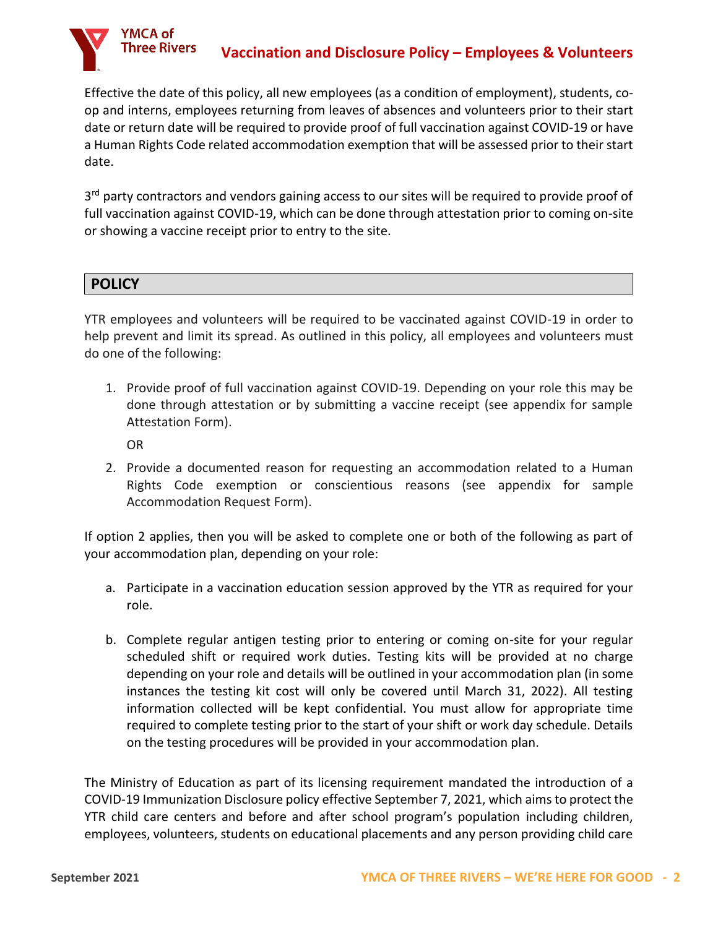Effective the date of this policy, all new employees (as a condition of employment), students, coop and interns, employees returning from leaves of absences and volunteers prior to their start date or return date will be required to provide proof of full vaccination against COVID-19 or have a Human Rights Code related accommodation exemption that will be assessed prior to their start date.

3<sup>rd</sup> party contractors and vendors gaining access to our sites will be required to provide proof of full vaccination against COVID-19, which can be done through attestation prior to coming on-site or showing a vaccine receipt prior to entry to the site.

## **POLICY**

YMCA of **Three Rivers** 

YTR employees and volunteers will be required to be vaccinated against COVID-19 in order to help prevent and limit its spread. As outlined in this policy, all employees and volunteers must do one of the following:

1. Provide proof of full vaccination against COVID-19. Depending on your role this may be done through attestation or by submitting a vaccine receipt (see appendix for sample Attestation Form).

OR

2. Provide a documented reason for requesting an accommodation related to a Human Rights Code exemption or conscientious reasons (see appendix for sample Accommodation Request Form).

If option 2 applies, then you will be asked to complete one or both of the following as part of your accommodation plan, depending on your role:

- a. Participate in a vaccination education session approved by the YTR as required for your role.
- b. Complete regular antigen testing prior to entering or coming on-site for your regular scheduled shift or required work duties. Testing kits will be provided at no charge depending on your role and details will be outlined in your accommodation plan (in some instances the testing kit cost will only be covered until March 31, 2022). All testing information collected will be kept confidential. You must allow for appropriate time required to complete testing prior to the start of your shift or work day schedule. Details on the testing procedures will be provided in your accommodation plan.

The Ministry of Education as part of its licensing requirement mandated the introduction of a COVID-19 Immunization Disclosure policy effective September 7, 2021, which aims to protect the YTR child care centers and before and after school program's population including children, employees, volunteers, students on educational placements and any person providing child care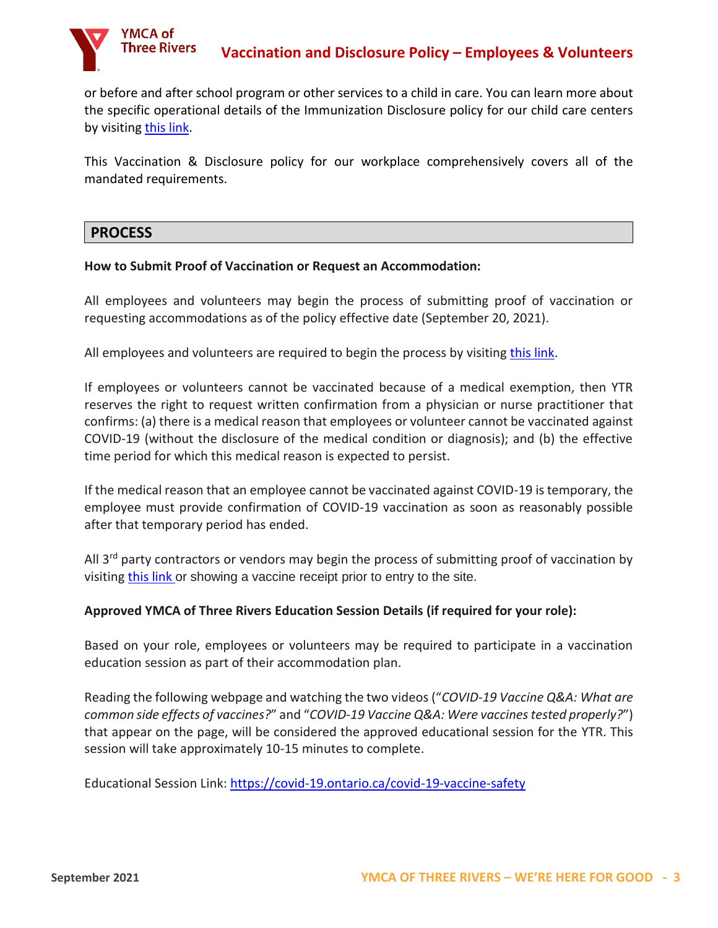

or before and after school program or other services to a child in care. You can learn more about the specific operational details of the Immunization Disclosure policy for our child care centers by visiting [this link.](https://www.ymcacambridgekw.ca/en/resourcesGeneral/YMCA-of-Three-Rivers-Child-Care-Vaccination-Disclosure-Policy.pdf)

This Vaccination & Disclosure policy for our workplace comprehensively covers all of the mandated requirements.

### **PROCESS**

#### **How to Submit Proof of Vaccination or Request an Accommodation:**

All employees and volunteers may begin the process of submitting proof of vaccination or requesting accommodations as of the policy effective date (September 20, 2021).

All employees and volunteers are required to begin the process by visiting [this link.](https://form.jotform.com/ckwcommunications/c19vdp-new-hire)

If employees or volunteers cannot be vaccinated because of a medical exemption, then YTR reserves the right to request written confirmation from a physician or nurse practitioner that confirms: (a) there is a medical reason that employees or volunteer cannot be vaccinated against COVID-19 (without the disclosure of the medical condition or diagnosis); and (b) the effective time period for which this medical reason is expected to persist.

If the medical reason that an employee cannot be vaccinated against COVID-19 is temporary, the employee must provide confirmation of COVID-19 vaccination as soon as reasonably possible after that temporary period has ended.

All  $3<sup>rd</sup>$  party contractors or vendors may begin the process of submitting proof of vaccination by visiting [this link](https://form.jotform.com/213396849315263) or showing a vaccine receipt prior to entry to the site.

#### **Approved YMCA of Three Rivers Education Session Details (if required for your role):**

Based on your role, employees or volunteers may be required to participate in a vaccination education session as part of their accommodation plan.

Reading the following webpage and watching the two videos ("*COVID-19 Vaccine Q&A: What are common side effects of vaccines?*" and "*COVID-19 Vaccine Q&A: Were vaccines tested properly?*") that appear on the page, will be considered the approved educational session for the YTR. This session will take approximately 10-15 minutes to complete.

Educational Session Link:<https://covid-19.ontario.ca/covid-19-vaccine-safety>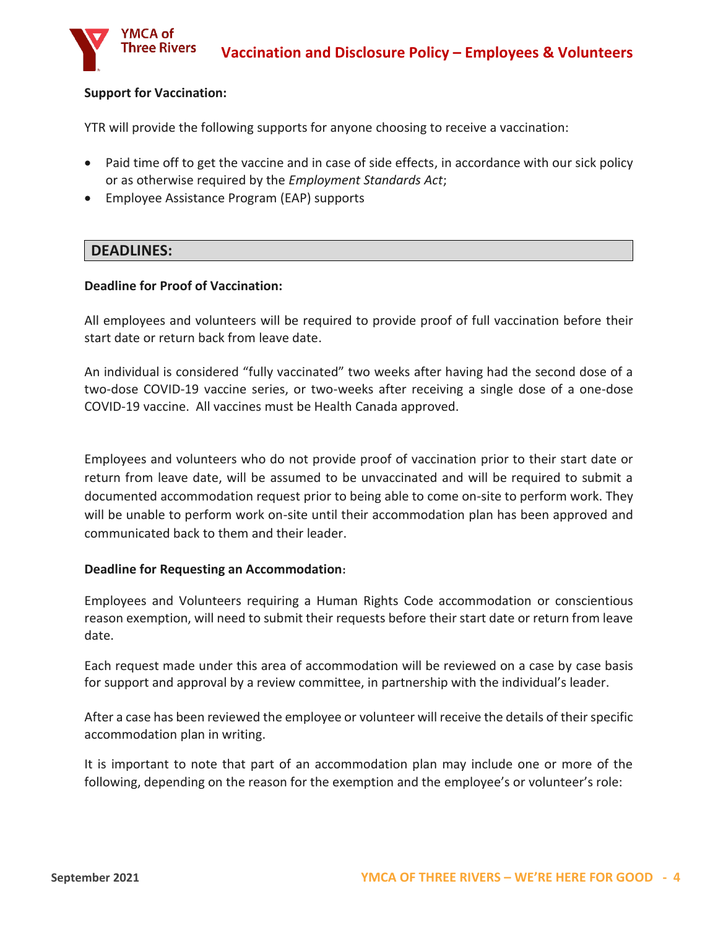#### **Support for Vaccination:**

YMCA of **Three Rivers** 

YTR will provide the following supports for anyone choosing to receive a vaccination:

- Paid time off to get the vaccine and in case of side effects, in accordance with our sick policy or as otherwise required by the *Employment Standards Act*;
- Employee Assistance Program (EAP) supports

#### **DEADLINES:**

#### **Deadline for Proof of Vaccination:**

All employees and volunteers will be required to provide proof of full vaccination before their start date or return back from leave date.

An individual is considered "fully vaccinated" two weeks after having had the second dose of a two-dose COVID-19 vaccine series, or two-weeks after receiving a single dose of a one-dose COVID-19 vaccine. All vaccines must be Health Canada approved.

Employees and volunteers who do not provide proof of vaccination prior to their start date or return from leave date, will be assumed to be unvaccinated and will be required to submit a documented accommodation request prior to being able to come on-site to perform work. They will be unable to perform work on-site until their accommodation plan has been approved and communicated back to them and their leader.

#### **Deadline for Requesting an Accommodation:**

Employees and Volunteers requiring a Human Rights Code accommodation or conscientious reason exemption, will need to submit their requests before their start date or return from leave date.

Each request made under this area of accommodation will be reviewed on a case by case basis for support and approval by a review committee, in partnership with the individual's leader.

After a case has been reviewed the employee or volunteer will receive the details of their specific accommodation plan in writing.

It is important to note that part of an accommodation plan may include one or more of the following, depending on the reason for the exemption and the employee's or volunteer's role: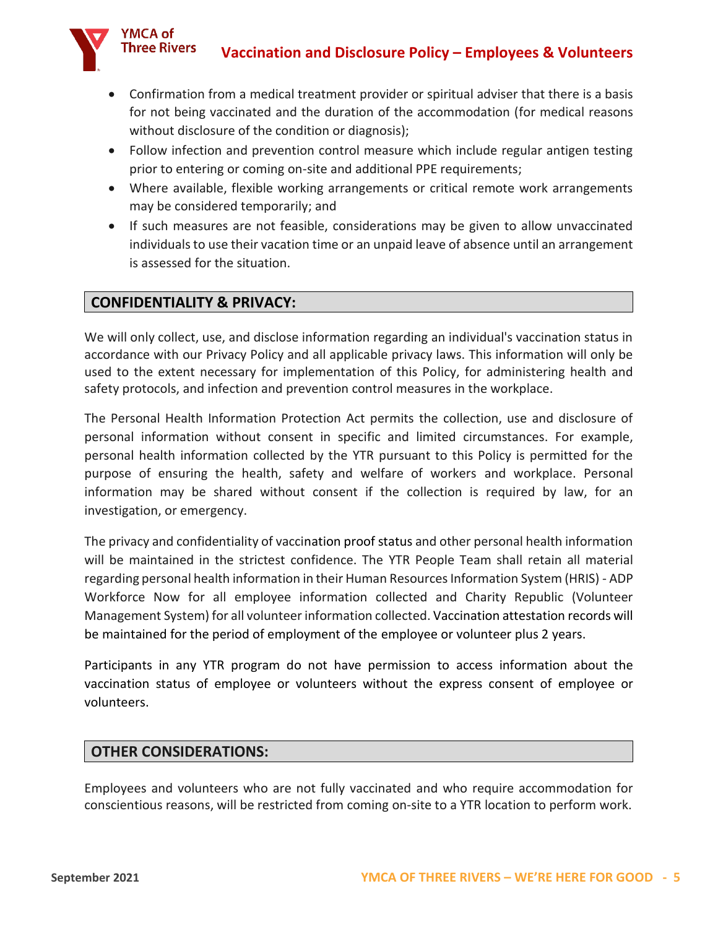

- Confirmation from a medical treatment provider or spiritual adviser that there is a basis for not being vaccinated and the duration of the accommodation (for medical reasons without disclosure of the condition or diagnosis);
- Follow infection and prevention control measure which include regular antigen testing prior to entering or coming on-site and additional PPE requirements;
- Where available, flexible working arrangements or critical remote work arrangements may be considered temporarily; and
- If such measures are not feasible, considerations may be given to allow unvaccinated individuals to use their vacation time or an unpaid leave of absence until an arrangement is assessed for the situation.

## **CONFIDENTIALITY & PRIVACY:**

We will only collect, use, and disclose information regarding an individual's vaccination status in accordance with our Privacy Policy and all applicable privacy laws. This information will only be used to the extent necessary for implementation of this Policy, for administering health and safety protocols, and infection and prevention control measures in the workplace.

The Personal Health Information Protection Act permits the collection, use and disclosure of personal information without consent in specific and limited circumstances. For example, personal health information collected by the YTR pursuant to this Policy is permitted for the purpose of ensuring the health, safety and welfare of workers and workplace. Personal information may be shared without consent if the collection is required by law, for an investigation, or emergency.

The privacy and confidentiality of vaccination proof status and other personal health information will be maintained in the strictest confidence. The YTR People Team shall retain all material regarding personal health information in their Human Resources Information System (HRIS) - ADP Workforce Now for all employee information collected and Charity Republic (Volunteer Management System) for all volunteer information collected. Vaccination attestation records will be maintained for the period of employment of the employee or volunteer plus 2 years.

Participants in any YTR program do not have permission to access information about the vaccination status of employee or volunteers without the express consent of employee or volunteers.

## **OTHER CONSIDERATIONS:**

Employees and volunteers who are not fully vaccinated and who require accommodation for conscientious reasons, will be restricted from coming on-site to a YTR location to perform work.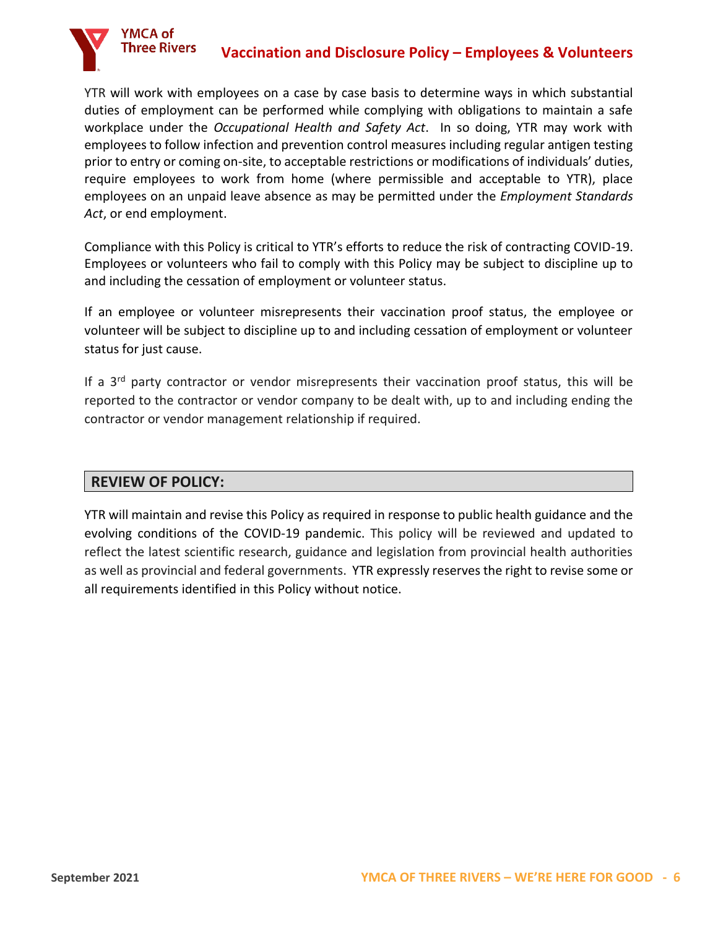

YTR will work with employees on a case by case basis to determine ways in which substantial duties of employment can be performed while complying with obligations to maintain a safe workplace under the *Occupational Health and Safety Act*. In so doing, YTR may work with employees to follow infection and prevention control measures including regular antigen testing prior to entry or coming on-site, to acceptable restrictions or modifications of individuals' duties, require employees to work from home (where permissible and acceptable to YTR), place employees on an unpaid leave absence as may be permitted under the *Employment Standards Act*, or end employment.

Compliance with this Policy is critical to YTR's efforts to reduce the risk of contracting COVID-19. Employees or volunteers who fail to comply with this Policy may be subject to discipline up to and including the cessation of employment or volunteer status.

If an employee or volunteer misrepresents their vaccination proof status, the employee or volunteer will be subject to discipline up to and including cessation of employment or volunteer status for just cause.

If a 3rd party contractor or vendor misrepresents their vaccination proof status, this will be reported to the contractor or vendor company to be dealt with, up to and including ending the contractor or vendor management relationship if required.

## **REVIEW OF POLICY:**

YTR will maintain and revise this Policy as required in response to public health guidance and the evolving conditions of the COVID-19 pandemic. This policy will be reviewed and updated to reflect the latest scientific research, guidance and legislation from provincial health authorities as well as provincial and federal governments. YTR expressly reserves the right to revise some or all requirements identified in this Policy without notice.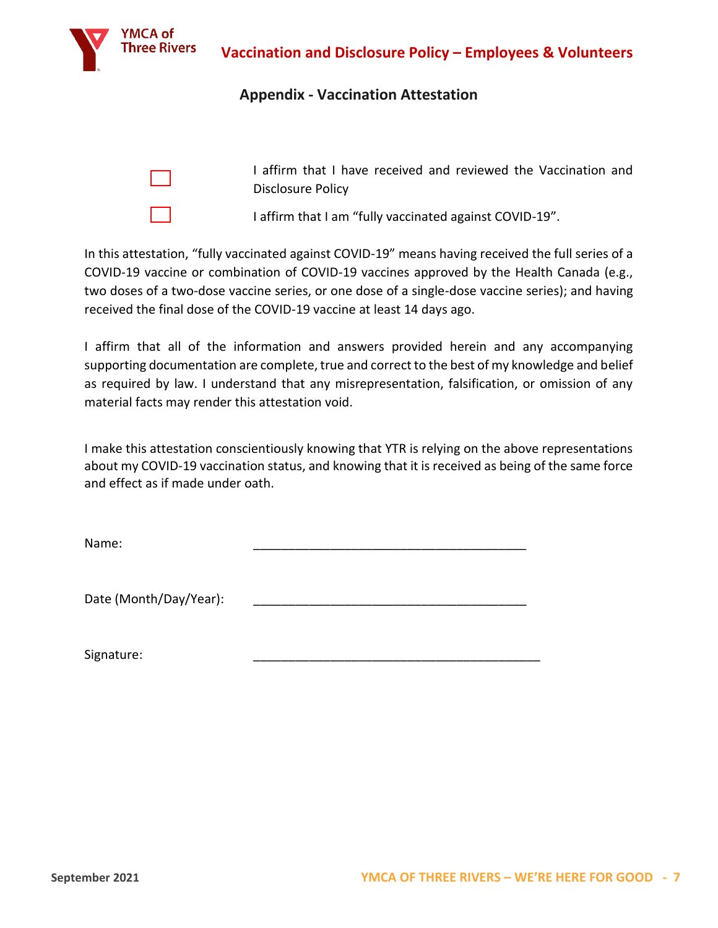

## **Appendix - Vaccination Attestation**

I affirm that I have received and reviewed the Vaccination and Disclosure Policy

I affirm that I am "fully vaccinated against COVID-19".

In this attestation, "fully vaccinated against COVID-19" means having received the full series of a COVID-19 vaccine or combination of COVID-19 vaccines approved by the Health Canada (e.g., two doses of a two-dose vaccine series, or one dose of a single-dose vaccine series); and having received the final dose of the COVID-19 vaccine at least 14 days ago.

I affirm that all of the information and answers provided herein and any accompanying supporting documentation are complete, true and correct to the best of my knowledge and belief as required by law. I understand that any misrepresentation, falsification, or omission of any material facts may render this attestation void.

I make this attestation conscientiously knowing that YTR is relying on the above representations about my COVID-19 vaccination status, and knowing that it is received as being of the same force and effect as if made under oath.

Name: \_\_\_\_\_\_\_\_\_\_\_\_\_\_\_\_\_\_\_\_\_\_\_\_\_\_\_\_\_\_\_\_\_\_\_\_\_\_\_

Date (Month/Day/Year):

Signature: